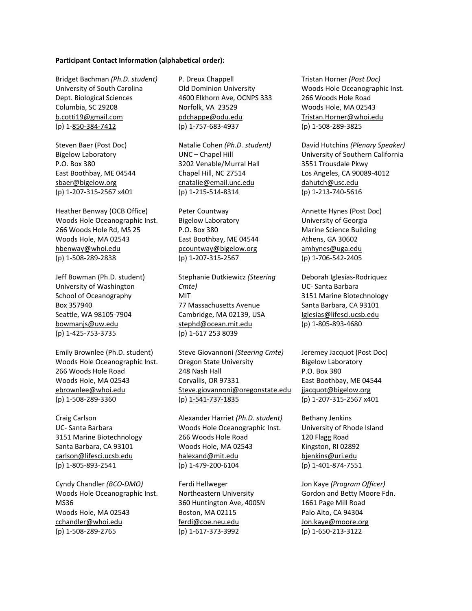## **Participant Contact Information (alphabetical order):**

Bridget Bachman *(Ph.D. student)* University of South Carolina Dept. Biological Sciences Columbia, SC 29208 b.cotti19@gmail.com (p) 1-850-384-7412

Steven Baer (Post Doc) Bigelow Laboratory P.O. Box 380 East Boothbay, ME 04544 sbaer@bigelow.org (p) 1-207-315-2567 x401

Heather Benway (OCB Office) Woods Hole Oceanographic Inst. 266 Woods Hole Rd, MS 25 Woods Hole, MA 02543 hbenway@whoi.edu (p) 1-508-289-2838

Jeff Bowman (Ph.D. student) University of Washington School of Oceanography Box 357940 Seattle, WA 98105-7904 bowmanjs@uw.edu (p) 1-425-753-3735

Emily Brownlee (Ph.D. student) Woods Hole Oceanographic Inst. 266 Woods Hole Road Woods Hole, MA 02543 ebrownlee@whoi.edu (p) 1-508-289-3360

Craig Carlson UC- Santa Barbara 3151 Marine Biotechnology Santa Barbara, CA 93101 carlson@lifesci.ucsb.edu (p) 1-805-893-2541

Cyndy Chandler *(BCO-DMO)* Woods Hole Oceanographic Inst. MS36 Woods Hole, MA 02543 cchandler@whoi.edu (p) 1-508-289-2765

P. Dreux Chappell Old Dominion University 4600 Elkhorn Ave, OCNPS 333 Norfolk, VA 23529 pdchappe@odu.edu (p) 1-757-683-4937

Natalie Cohen *(Ph.D. student)* UNC – Chapel Hill 3202 Venable/Murral Hall Chapel Hill, NC 27514 cnatalie@email.unc.edu (p) 1-215-514-8314

Peter Countway Bigelow Laboratory P.O. Box 380 East Boothbay, ME 04544 pcountway@bigelow.org (p) 1-207-315-2567

Stephanie Dutkiewicz *(Steering Cmte)*  MIT 77 Massachusetts Avenue Cambridge, MA 02139, USA stephd@ocean.mit.edu (p) 1-617 253 8039

Steve Giovannoni *(Steering Cmte)* Oregon State University 248 Nash Hall Corvallis, OR 97331 Steve.giovannoni@oregonstate.edu (p) 1-541-737-1835

Alexander Harriet *(Ph.D. student)* Woods Hole Oceanographic Inst. 266 Woods Hole Road Woods Hole, MA 02543 halexand@mit.edu (p) 1-479-200-6104

Ferdi Hellweger Northeastern University 360 Huntington Ave, 400SN Boston, MA 02115 ferdi@coe.neu.edu (p) 1-617-373-3992

Tristan Horner *(Post Doc)* Woods Hole Oceanographic Inst. 266 Woods Hole Road Woods Hole, MA 02543 Tristan.Horner@whoi.edu (p) 1-508-289-3825

David Hutchins *(Plenary Speaker)* University of Southern California 3551 Trousdale Pkwy Los Angeles, CA 90089-4012 dahutch@usc.edu (p) 1-213-740-5616

Annette Hynes (Post Doc) University of Georgia Marine Science Building Athens, GA 30602 amhynes@uga.edu (p) 1-706-542-2405

Deborah Iglesias-Rodriquez UC- Santa Barbara 3151 Marine Biotechnology Santa Barbara, CA 93101 Iglesias@lifesci.ucsb.edu (p) 1-805-893-4680

Jeremey Jacquot (Post Doc) Bigelow Laboratory P.O. Box 380 East Boothbay, ME 04544 jjacquot@bigelow.org (p) 1-207-315-2567 x401

Bethany Jenkins University of Rhode Island 120 Flagg Road Kingston, RI 02892 bjenkins@uri.edu (p) 1-401-874-7551

Jon Kaye *(Program Officer)* Gordon and Betty Moore Fdn. 1661 Page Mill Road Palo Alto, CA 94304 Jon.kaye@moore.org (p) 1-650-213-3122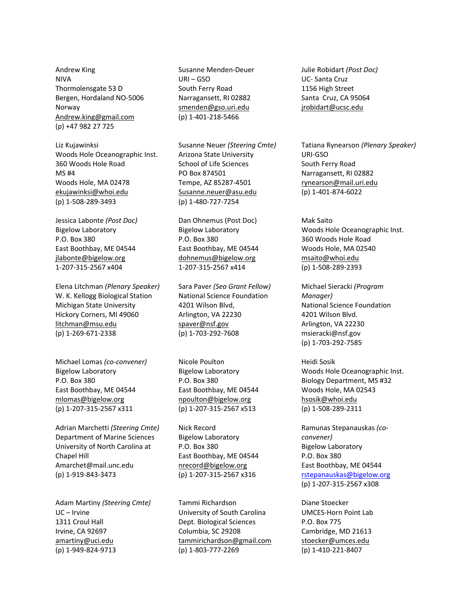Andrew King NIVA Thormolensgate 53 D Bergen, Hordaland NO-5006 Norway Andrew.king@gmail.com (p) +47 982 27 725

Liz Kujawinksi Woods Hole Oceanographic Inst. 360 Woods Hole Road MS #4 Woods Hole, MA 02478 ekujawinksi@whoi.edu (p) 1-508-289-3493

Jessica Labonte *(Post Doc)* Bigelow Laboratory P.O. Box 380 East Boothbay, ME 04544 jlabonte@bigelow.org 1-207-315-2567 x404

Elena Litchman *(Plenary Speaker)*  W. K. Kellogg Biological Station Michigan State University Hickory Corners, MI 49060 litchman@msu.edu (p) 1-269-671-2338

Michael Lomas *(co-convener)* Bigelow Laboratory P.O. Box 380 East Boothbay, ME 04544 mlomas@bigelow.org (p) 1-207-315-2567 x311

Adrian Marchetti *(Steering Cmte)*  Department of Marine Sciences University of North Carolina at Chapel Hill Amarchet@mail.unc.edu (p) 1-919-843-3473

Adam Martiny *(Steering Cmte)* UC – Irvine 1311 Croul Hall Irvine, CA 92697 amartiny@uci.edu (p) 1-949-824-9713

Susanne Menden-Deuer URI – GSO South Ferry Road Narragansett, RI 02882 smenden@gso.uri.edu (p) 1-401-218-5466

Susanne Neuer *(Steering Cmte)* Arizona State University School of Life Sciences PO Box 874501 Tempe, AZ 85287-4501 Susanne.neuer@asu.edu (p) 1-480-727-7254

Dan Ohnemus (Post Doc) Bigelow Laboratory P.O. Box 380 East Boothbay, ME 04544 dohnemus@bigelow.org 1-207-315-2567 x414

Sara Paver *(Sea Grant Fellow)* National Science Foundation 4201 Wilson Blvd, Arlington, VA 22230 spaver@nsf.gov (p) 1-703-292-7608

Nicole Poulton Bigelow Laboratory P.O. Box 380 East Boothbay, ME 04544 npoulton@bigelow.org (p) 1-207-315-2567 x513

Nick Record Bigelow Laboratory P.O. Box 380 East Boothbay, ME 04544 nrecord@bigelow.org (p) 1-207-315-2567 x316

Tammi Richardson University of South Carolina Dept. Biological Sciences Columbia, SC 29208 tammirichardson@gmail.com (p) 1-803-777-2269

Julie Robidart *(Post Doc)* UC- Santa Cruz 1156 High Street Santa Cruz, CA 95064 jrobidart@ucsc.edu

Tatiana Rynearson *(Plenary Speaker)* URI-GSO South Ferry Road Narragansett, RI 02882 rynearson@mail.uri.edu (p) 1-401-874-6022

Mak Saito Woods Hole Oceanographic Inst. 360 Woods Hole Road Woods Hole, MA 02540 msaito@whoi.edu (p) 1-508-289-2393

Michael Sieracki *(Program Manager)*  National Science Foundation 4201 Wilson Blvd. Arlington, VA 22230 msieracki@nsf.gov (p) 1-703-292-7585

Heidi Sosik Woods Hole Oceanographic Inst. Biology Department, MS #32 Woods Hole, MA 02543 hsosik@whoi.edu (p) 1-508-289-2311

Ramunas Stepanauskas *(coconvener)*  Bigelow Laboratory P.O. Box 380 East Boothbay, ME 04544 rstepanauskas@bigelow.org (p) 1-207-315-2567 x308

Diane Stoecker UMCES-Horn Point Lab P.O. Box 775 Cambridge, MD 21613 stoecker@umces.edu (p) 1-410-221-8407